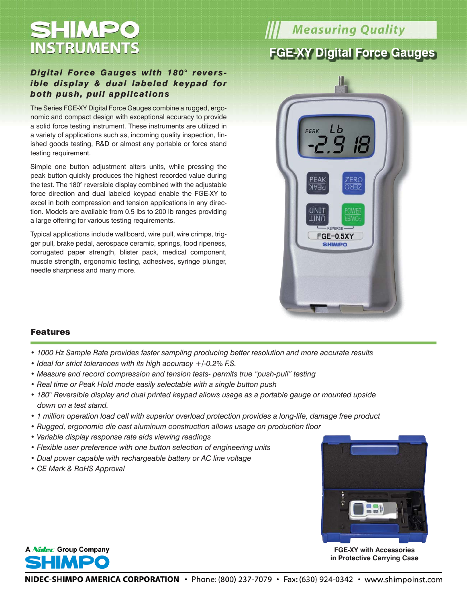# **SHMPO INSTRUMENTS**

## *Digital Force Gauges with 180° reversible display & dual labeled keypad for both push, pull applications*

The Series FGE-XY Digital Force Gauges combine a rugged, ergonomic and compact design with exceptional accuracy to provide a solid force testing instrument. These instruments are utilized in a variety of applications such as, incoming quality inspection, finished goods testing, R&D or almost any portable or force stand testing requirement.

Simple one button adjustment alters units, while pressing the peak button quickly produces the highest recorded value during the test. The 180° reversible display combined with the adjustable force direction and dual labeled keypad enable the FGE-XY to excel in both compression and tension applications in any direction. Models are available from 0.5 lbs to 200 lb ranges providing a large offering for various testing requirements.

Typical applications include wallboard, wire pull, wire crimps, trigger pull, brake pedal, aerospace ceramic, springs, food ripeness, corrugated paper strength, blister pack, medical component, muscle strength, ergonomic testing, adhesives, syringe plunger, needle sharpness and many more.

# **Measuring Quality**

## **FGE-XY Digital Force Gauges**



#### Features

- *1000 Hz Sample Rate provides faster sampling producing better resolution and more accurate results*
- *Ideal for strict tolerances with its high accuracy +/-0.2% F.S.*
- *Measure and record compression and tension tests- permits true "push-pull" testing*
- *Real time or Peak Hold mode easily selectable with a single button push*
- *180° Reversible display and dual printed keypad allows usage as a portable gauge or mounted upside down on a test stand.*
- *1 million operation load cell with superior overload protection provides a long-life, damage free product*
- *Rugged, ergonomic die cast aluminum construction allows usage on production floor*
- *Variable display response rate aids viewing readings*
- *Flexible user preference with one button selection of engineering units*
- *Dual power capable with rechargeable battery or AC line voltage*
- *CE Mark & RoHS Approval*



**FGE-XY with Accessories in Protective Carrying Case**